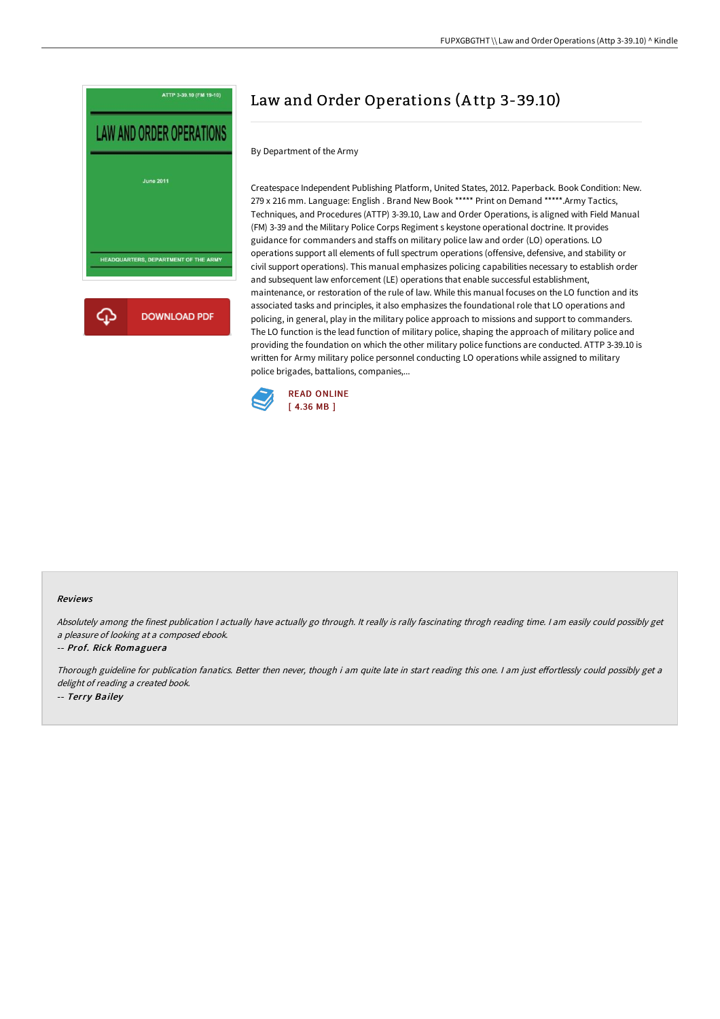

# Law and Order Operations (A ttp 3-39.10)

By Department of the Army

Createspace Independent Publishing Platform, United States, 2012. Paperback. Book Condition: New. 279 x 216 mm. Language: English . Brand New Book \*\*\*\*\* Print on Demand \*\*\*\*\*.Army Tactics, Techniques, and Procedures (ATTP) 3-39.10, Law and Order Operations, is aligned with Field Manual (FM) 3-39 and the Military Police Corps Regiment s keystone operational doctrine. It provides guidance for commanders and staffs on military police law and order (LO) operations. LO operations support all elements of full spectrum operations (offensive, defensive, and stability or civil support operations). This manual emphasizes policing capabilities necessary to establish order and subsequent law enforcement (LE) operations that enable successful establishment, maintenance, or restoration of the rule of law. While this manual focuses on the LO function and its associated tasks and principles, it also emphasizes the foundational role that LO operations and policing, in general, play in the military police approach to missions and support to commanders. The LO function is the lead function of military police, shaping the approach of military police and providing the foundation on which the other military police functions are conducted. ATTP 3-39.10 is written for Army military police personnel conducting LO operations while assigned to military police brigades, battalions, companies,...



#### Reviews

Absolutely among the finest publication I actually have actually go through. It really is rally fascinating throgh reading time. I am easily could possibly get <sup>a</sup> pleasure of looking at <sup>a</sup> composed ebook.

#### -- Prof. Rick Romaguera

Thorough guideline for publication fanatics. Better then never, though i am quite late in start reading this one. I am just effortlessly could possibly get a delight of reading <sup>a</sup> created book. -- Terry Bailey